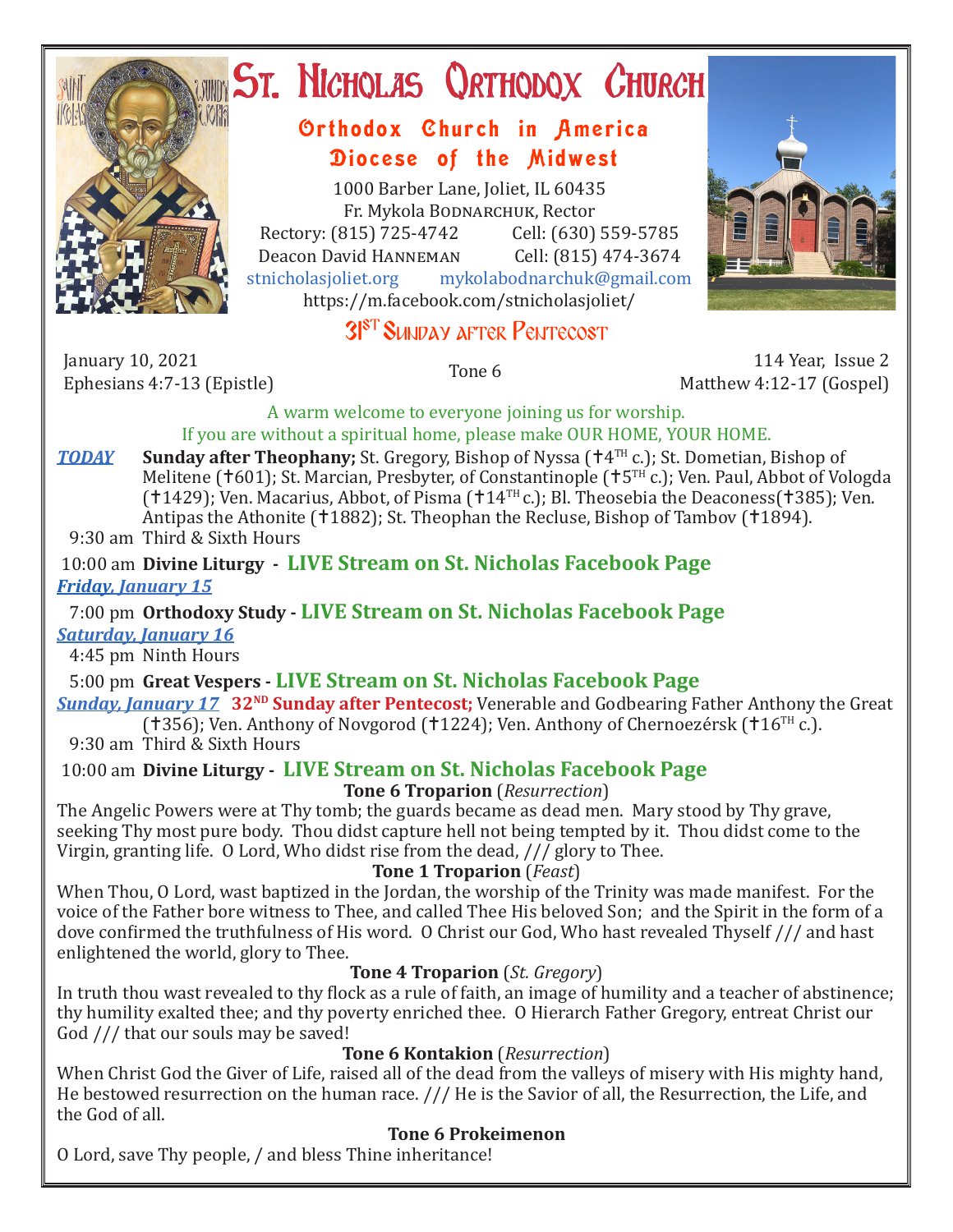

# **ST. NICHOLAS QRTHODOX CHURCH**

## Orthodox Church in America Diocese of the Midwest

1000 Barber Lane, Joliet, IL 60435 Fr. Mykola Bodnarchuk, Rector Rectory: (815) 725-4742 Cell: (630) 559-5785<br>Deacon David HANNEMAN Cell: (815) 474-3674 Deacon David HANNEMAN<br>stnicholasioliet.org mykola mykolabodnarchuk@gmail.com https://m.facebook.com/stnicholasjoliet/



January 10, 2021<br>Ephesians 4:7-13 (Epistle)

Ephesians 4:7-13 (Epistle) Tone 6 114 Year, Issue 2 Matthew 4:12-17 (Gospel)

A warm welcome to everyone joining us for worship. If you are without a spiritual home, please make OUR HOME, YOUR HOME.

*TODAY* Sunday after Theophany; St. Gregory, Bishop of Nyssa ( $\uparrow$ 4TH c.); St. Dometian, Bishop of Melitene ( $\pm 601$ ); St. Marcian, Presbyter, of Constantinople ( $\pm 5$ <sup>TH</sup> c.); Ven. Paul, Abbot of Vologda ( $1429$ ); Ven. Macarius, Abbot, of Pisma ( $144$ <sup>TH</sup> c.); Bl. Theosebia the Deaconess( $1385$ ); Ven. Antipas the Athonite (†1882); St. Theophan the Recluse, Bishop of Tambov (†1894). 9:30 am Third & Sixth Hours

#### 10:00 am **Divine Liturgy - LIVE Stream on St. Nicholas Facebook Page** *Friday, January 15*

 7:00 pm **Orthodoxy Study - LIVE Stream on St. Nicholas Facebook Page** *Saturday, January 16*

4:45 pm Ninth Hours

5:00 pm **Great Vespers - LIVE Stream on St. Nicholas Facebook Page**

**Sunday, January 17** 32<sup>ND</sup> Sunday after Pentecost; Venerable and Godbearing Father Anthony the Great (†356); Ven. Anthony of Novgorod (†1224); Ven. Anthony of Chernoezérsk (†16<sup>TH</sup> c.).

9:30 am Third & Sixth Hours

10:00 am **Divine Liturgy - LIVE Stream on St. Nicholas Facebook Page**

## **Tone 6 Troparion** (*Resurrection*)

The Angelic Powers were at Thy tomb; the guards became as dead men. Mary stood by Thy grave, seeking Thy most pure body. Thou didst capture hell not being tempted by it. Thou didst come to the Virgin, granting life. O Lord, Who didst rise from the dead, /// glory to Thee.

**Tone 1 Troparion** (*Feast*)

When Thou, O Lord, wast baptized in the Jordan, the worship of the Trinity was made manifest. For the voice of the Father bore witness to Thee, and called Thee His beloved Son; and the Spirit in the form of a dove confirmed the truthfulness of His word. O Christ our God, Who hast revealed Thyself /// and hast enlightened the world, glory to Thee.

### **Tone 4 Troparion** (*St. Gregory*)

In truth thou wast revealed to thy flock as a rule of faith, an image of humility and a teacher of abstinence; thy humility exalted thee; and thy poverty enriched thee. O Hierarch Father Gregory, entreat Christ our God /// that our souls may be saved!

### **Tone 6 Kontakion** (*Resurrection*)

When Christ God the Giver of Life, raised all of the dead from the valleys of misery with His mighty hand, He bestowed resurrection on the human race. /// He is the Savior of all, the Resurrection, the Life, and the God of all.

## **Tone 6 Prokeimenon**

O Lord, save Thy people, / and bless Thine inheritance!